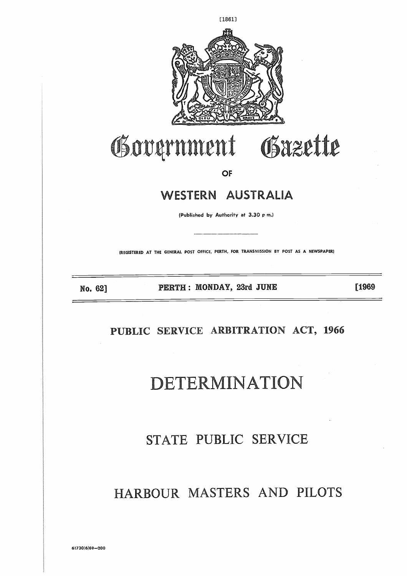

# Government Gazette

OF

# **<sup>1</sup>\i'/7ESTERI'1 .AUSTRALIA** WESTERN AUSTRALIA<br>
(<sup>published</sup> by Authority at 3.30 p m.)<br>
(REGISTERED AT THE GENERAL POST OFFICE, PERTH, FOR TRANSMISSION BY POST AS A NEWSPAPER)<br>
NO. 62] PERTH : MONDAY, 23rd JUNE [1969

(Published by Authority at 3.30 r m.)

(REGISTERED AT THE GENERAL POST OFFICE, PERTH, FOR TRANSMISSION BY POST AS A NEWSPAPER)

# **PUBLIC SERVICE ARBITRATION ACT, 1966**

# DETERMINATION

# STATE PUBLIC SERVICE

# HARBOUR MASTERS AND PILOTS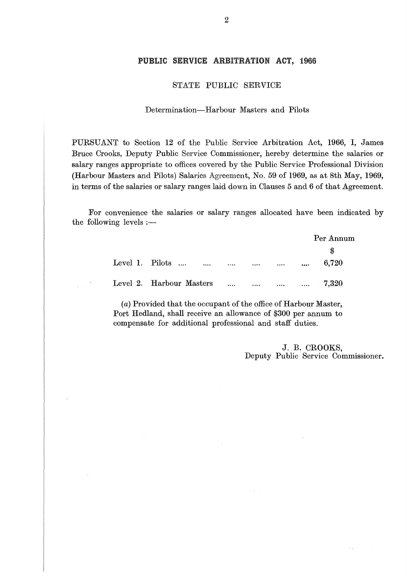### **PUBLIC SERVICE ARBITRATION ACT, 1966**

### STATE PUBLIC SERVICE

### Determination—Harbour Masters and Pilots

PURSUANT to Section 12 of the Public Service Arbitration Act, 1966, I, James Bruce Crooks, Deputy Public Service Commissioner, hereby determine the salaries or salary ranges appropriate to offices covered by the Public Service Professional Division (Harbour Masters and Pilots) Salaries Agreement, No. 59 of 1969, as at 8th May, 1969, in terms of the salaries or salary ranges laid down in Clauses 5 and 6 of that Agreement.

For convenience the salaries or salary ranges allocated have been indicated by the following levels :—

|                        | $N$ to Section 12 of the Public Service Arbitration Act, 1900, 1                                                                  |            |  |           |  |
|------------------------|-----------------------------------------------------------------------------------------------------------------------------------|------------|--|-----------|--|
|                        | oks, Deputy Public Service Commissioner, hereby determine the sal                                                                 |            |  |           |  |
|                        | ges appropriate to offices covered by the Public Service Professional .                                                           |            |  |           |  |
|                        | Masters and Pilots) Salaries Agreement, No. 59 of 1969, as at 8th Ma                                                              |            |  |           |  |
|                        | f the salaries or salary ranges laid down in Clauses 5 and 6 of that Agr                                                          |            |  |           |  |
|                        |                                                                                                                                   |            |  |           |  |
| $\text{ing levels} :=$ | onvenience the salaries or salary ranges allocated have been indic                                                                |            |  |           |  |
|                        |                                                                                                                                   |            |  | Per Annum |  |
|                        |                                                                                                                                   |            |  | \$        |  |
|                        | Level 1. Pilots                                                                                                                   |            |  | 6,720     |  |
|                        | Level 2. Harbour Masters                                                                                                          | $\dddotsc$ |  | 7,320     |  |
|                        | (a) Provided that the occupant of the office of Harbour Master,<br>Port Hedland, shall receive an allowance of \$300 per annum to |            |  |           |  |

(a) Provided that the occupant of the office of Harbour Master, Port Hedland, shall receive an allowance of \$300 per annum to compensate for additional professional and staff duties.

> J. B. CROOKS, Deputy Public Service Commissioner.

> > $\lambda_{\rm{max}}$